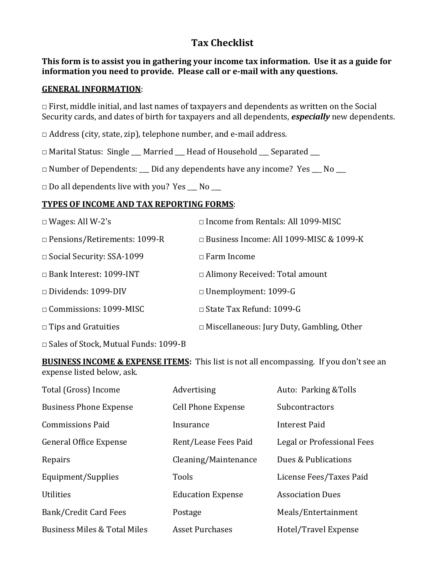# **Tax Checklist**

### **This form is to assist you in gathering your income tax information. Use it as a guide for information you need to provide. Please call or e-mail with any questions.**

#### **GENERAL INFORMATION**:

 $\Box$  First, middle initial, and last names of taxpayers and dependents as written on the Social Security cards, and dates of birth for taxpayers and all dependents, *especially* new dependents.

 $\Box$  Address (city, state, zip), telephone number, and e-mail address.

□ Marital Status: Single \_\_\_ Married \_\_\_ Head of Household \_\_\_ Separated \_\_\_

 $\Box$  Number of Dependents:  $\Box$  Did any dependents have any income? Yes  $\Box$  No  $\Box$ 

 $\Box$  Do all dependents live with you? Yes  $\Box$  No  $\Box$ 

### **TYPES OF INCOME AND TAX REPORTING FORMS**:

| $\Box$ Wages: All W-2's                     | $\Box$ Income from Rentals: All 1099-MISC        |
|---------------------------------------------|--------------------------------------------------|
| $\Box$ Pensions/Retirements: 1099-R         | $\Box$ Business Income: All 1099-MISC & 1099-K   |
| $\Box$ Social Security: SSA-1099            | $\Box$ Farm Income                               |
| $\Box$ Bank Interest: 1099-INT              | $\Box$ Alimony Received: Total amount            |
| $\Box$ Dividends: 1099-DIV                  | $\Box$ Unemployment: 1099-G                      |
| $\Box$ Commissions: 1099-MISC               | $\Box$ State Tax Refund: 1099-G                  |
| $\Box$ Tips and Gratuities                  | $\Box$ Miscellaneous: Jury Duty, Gambling, Other |
| $\Box$ Sales of Stock, Mutual Funds: 1099-B |                                                  |

**BUSINESS INCOME & EXPENSE ITEMS:** This list is not all encompassing. If you don't see an expense listed below, ask.

| Total (Gross) Income                    | Advertising               | Auto: Parking & Tolls      |
|-----------------------------------------|---------------------------|----------------------------|
| <b>Business Phone Expense</b>           | <b>Cell Phone Expense</b> | <b>Subcontractors</b>      |
| <b>Commissions Paid</b>                 | Insurance                 | Interest Paid              |
| <b>General Office Expense</b>           | Rent/Lease Fees Paid      | Legal or Professional Fees |
| Repairs                                 | Cleaning/Maintenance      | Dues & Publications        |
| Equipment/Supplies                      | <b>Tools</b>              | License Fees/Taxes Paid    |
| <b>Utilities</b>                        | <b>Education Expense</b>  | <b>Association Dues</b>    |
| Bank/Credit Card Fees                   | Postage                   | Meals/Entertainment        |
| <b>Business Miles &amp; Total Miles</b> | <b>Asset Purchases</b>    | Hotel/Travel Expense       |